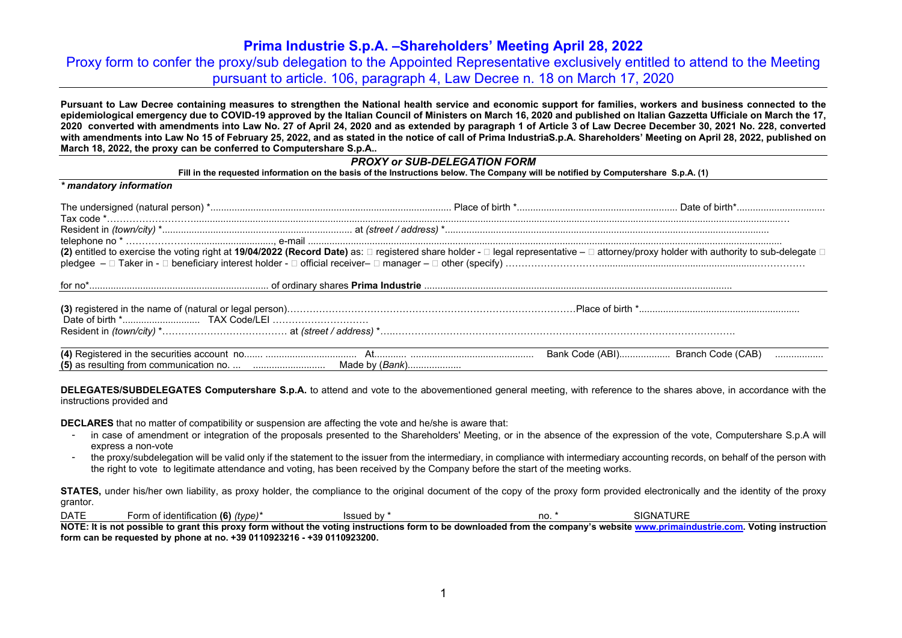Proxy form to confer the proxy/sub delegation to the Appointed Representative exclusively entitled to attend to the Meeting pursuant to article. 106, paragraph 4, Law Decree n. 18 on March 17, 2020

**Pursuant to Law Decree containing measures to strengthen the National health service and economic support for families, workers and business connected to the epidemiological emergency due to COVID-19 approved by the Italian Council of Ministers on March 16, 2020 and published on Italian Gazzetta Ufficiale on March the 17, 2020 converted with amendments into Law No. 27 of April 24, 2020 and as extended by paragraph 1 of Article 3 of Law Decree December 30, 2021 No. 228, converted with amendments into Law No 15 of February 25, 2022, and as stated in the notice of call of Prima IndustriaS.p.A. Shareholders' Meeting on April 28, 2022, published on March 18, 2022, the proxy can be conferred to Computershare S.p.A..** 

### *PROXY or SUB-DELEGATION FORM*

**Fill in the requested information on the basis of the Instructions below. The Company will be notified by Computershare S.p.A. (1)**

| * mandatory information |                                   |
|-------------------------|-----------------------------------|
|                         |                                   |
|                         |                                   |
|                         |                                   |
|                         |                                   |
|                         |                                   |
|                         |                                   |
|                         |                                   |
|                         | Bank Code (ABI) Branch Code (CAB) |

**DELEGATES/SUBDELEGATES Computershare S.p.A.** to attend and vote to the abovementioned general meeting, with reference to the shares above, in accordance with the instructions provided and

**DECLARES** that no matter of compatibility or suspension are affecting the vote and he/she is aware that:

- in case of amendment or integration of the proposals presented to the Shareholders' Meeting, or in the absence of the expression of the vote, Computershare S.p.A will express a non-vote
- the proxy/subdelegation will be valid only if the statement to the issuer from the intermediary, in compliance with intermediary accounting records, on behalf of the person with the right to vote to legitimate attendance and voting, has been received by the Company before the start of the meeting works.

**STATES**, under his/her own liability, as proxy holder, the compliance to the original document of the copy of the proxy form provided electronically and the identity of the proxy grantor.

| <b>DATE</b> | .<br>of identification (6)<br>(type)<br>∴orm | اص یع ما<br>ssued by . | no. | ATURE<br>ימי<br>∵ AlGNA اد. |
|-------------|----------------------------------------------|------------------------|-----|-----------------------------|
|-------------|----------------------------------------------|------------------------|-----|-----------------------------|

NOTE: It is not possible to grant this proxy form without the voting instructions form to be downloaded from the company's website www.primaindustrie.com. Voting instruction **form can be requested by phone at no. +39 0110923216 - +39 0110923200.**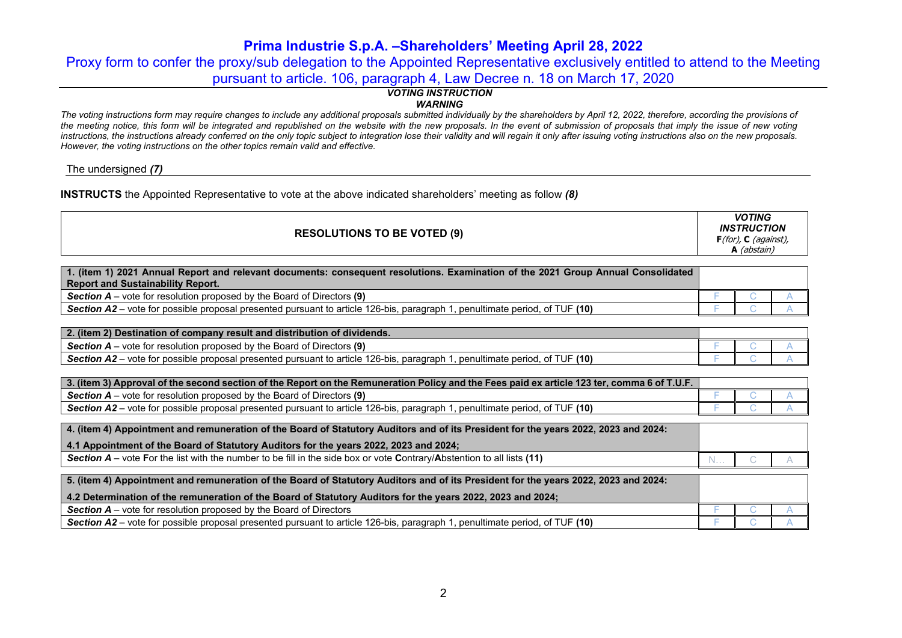Proxy form to confer the proxy/sub delegation to the Appointed Representative exclusively entitled to attend to the Meeting pursuant to article. 106, paragraph 4, Law Decree n. 18 on March 17, 2020

# *VOTING INSTRUCTION*

*WARNING*

*The voting instructions form may require changes to include any additional proposals submitted individually by the shareholders by April 12, 2022, therefore, according the provisions of the meeting notice, this form will be integrated and republished on the website with the new proposals. In the event of submission of proposals that imply the issue of new voting instructions, the instructions already conferred on the only topic subject to integration lose their validity and will regain it only after issuing voting instructions also on the new proposals. However, the voting instructions on the other topics remain valid and effective.*

The undersigned *(7)*

**INSTRUCTS** the Appointed Representative to vote at the above indicated shareholders' meeting as follow *(8)*

|  |  | <b>RESOLUTIONS TO BE VOTED (9)</b> | <b>VOTING</b><br><b>INSTRUCTION</b><br>$F(for)$ , C (against),<br>(abstain) |
|--|--|------------------------------------|-----------------------------------------------------------------------------|
|--|--|------------------------------------|-----------------------------------------------------------------------------|

| 1. (item 1) 2021 Annual Report and relevant documents: consequent resolutions. Examination of the 2021 Group Annual Consolidated<br><b>Report and Sustainability Report.</b> |  |  |
|------------------------------------------------------------------------------------------------------------------------------------------------------------------------------|--|--|
| <b>Section A</b> – vote for resolution proposed by the Board of Directors (9)                                                                                                |  |  |
| Section A2 – vote for possible proposal presented pursuant to article 126-bis, paragraph 1, penultimate period, of TUF (10)                                                  |  |  |

| 2. (item 2) Destination of company result and distribution of dividends.                                                                        |  |  |
|-------------------------------------------------------------------------------------------------------------------------------------------------|--|--|
| r resolution proposed by the Board of Directors (9)<br>Section $A -$<br>· vote for                                                              |  |  |
| TUF (10)<br><b>Section A2</b><br>- vote for possible proposal presented pursuant to article 126-bis, paragraph<br>. penultimate period.<br>n of |  |  |

| 1. 3. (item 3) Approval of the second section of the Report on the Remuneration Policy and the Fees paid ex article 123 ter, comma 6 of T.U.F. |  |  |
|------------------------------------------------------------------------------------------------------------------------------------------------|--|--|
| <b>Section A</b> – vote for resolution proposed by the Board of Directors (9)                                                                  |  |  |
| <b>Section A2</b> – vote for possible proposal presented pursuant to article 126-bis, paragraph 1, penultimate period, of TUF (10)             |  |  |

| 4. (item 4) Appointment and remuneration of the Board of Statutory Auditors and of its President for the years 2022, 2023 and 2024: |  |  |
|-------------------------------------------------------------------------------------------------------------------------------------|--|--|
| 4.1 Appointment of the Board of Statutory Auditors for the years 2022, 2023 and 2024;                                               |  |  |
| Section A – vote For the list with the number to be fill in the side box or vote Contrary/Abstention to all lists (11)              |  |  |

| 5. (item 4) Appointment and remuneration of the Board of Statutory Auditors and of its President for the years 2022, 2023 and 2024: |  |  |
|-------------------------------------------------------------------------------------------------------------------------------------|--|--|
| 4.2 Determination of the remuneration of the Board of Statutory Auditors for the years 2022, 2023 and 2024;                         |  |  |
| $\mid$ Section A – vote for resolution proposed by the Board of Directors                                                           |  |  |
| Section $A2$ – vote for possible proposal presented pursuant to article 126-bis, paragraph 1, penultimate period, of TUF (10)       |  |  |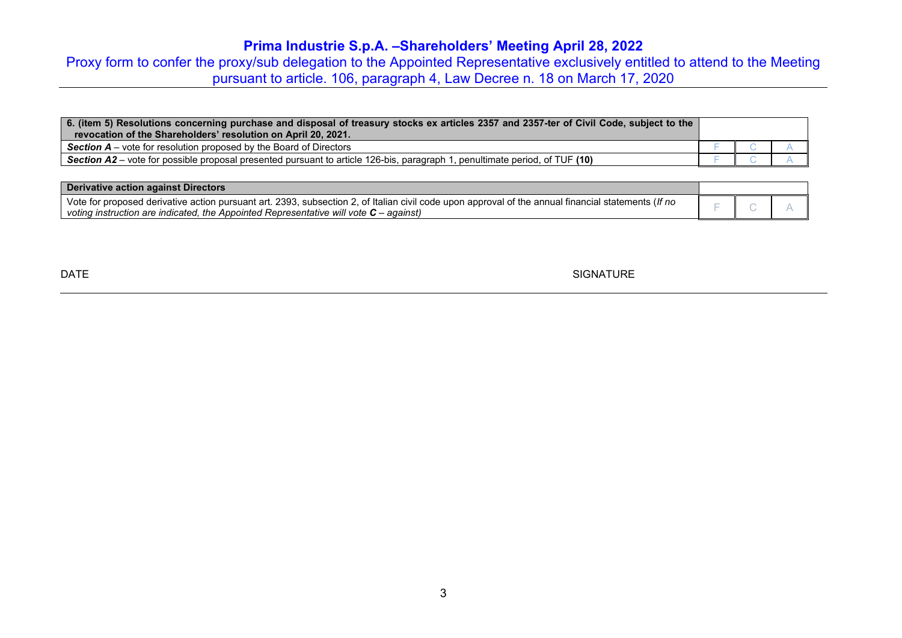Proxy form to confer the proxy/sub delegation to the Appointed Representative exclusively entitled to attend to the Meeting pursuant to article. 106, paragraph 4, Law Decree n. 18 on March 17, 2020

| 6. (item 5) Resolutions concerning purchase and disposal of treasury stocks ex articles 2357 and 2357-ter of Civil Code, subject to the<br>revocation of the Shareholders' resolution on April 20, 2021. |  |  |
|----------------------------------------------------------------------------------------------------------------------------------------------------------------------------------------------------------|--|--|
| <b>Section A</b> – vote for resolution proposed by the Board of Directors                                                                                                                                |  |  |
| <b>Section A2</b> – vote for possible proposal presented pursuant to article 126-bis, paragraph 1, penultimate period, of TUF (10)                                                                       |  |  |

| Derivative action against Directors                                                                                                                                                                                                            |  |  |
|------------------------------------------------------------------------------------------------------------------------------------------------------------------------------------------------------------------------------------------------|--|--|
| Vote for proposed derivative action pursuant art. 2393, subsection 2, of Italian civil code upon approval of the annual financial statements (If no<br>voting instruction are indicated, the Appointed Representative will vote $C$ – against) |  |  |

DATE SIGNATURE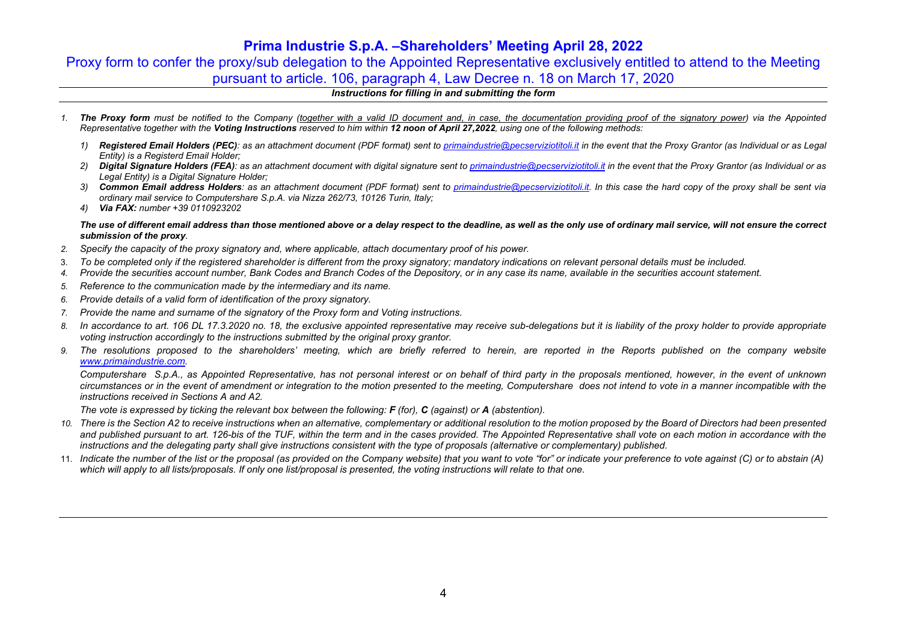Proxy form to confer the proxy/sub delegation to the Appointed Representative exclusively entitled to attend to the Meeting pursuant to article. 106, paragraph 4, Law Decree n. 18 on March 17, 2020

### *Instructions for filling in and submitting the form*

- *1. The Proxy form must be notified to the Company (together with a valid ID document and, in case, the documentation providing proof of the signatory power) via the Appointed Representative together with the Voting Instructions reserved to him within 12 noon of April 27,2022, using one of the following methods:*
	- *1) Registered Email Holders (PEC): as an attachment document (PDF format) sent to primaindustrie@pecserviziotitoli.it in the event that the Proxy Grantor (as Individual or as Legal Entity) is a Registerd Email Holder;*
	- *2) Digital Signature Holders (FEA): as an attachment document with digital signature sent to primaindustrie@pecserviziotitoli.it in the event that the Proxy Grantor (as Individual or as Legal Entity) is a Digital Signature Holder;*
	- *3) Common Email address Holders: as an attachment document (PDF format) sent to primaindustrie@pecserviziotitoli.it. In this case the hard copy of the proxy shall be sent via ordinary mail service to Computershare S.p.A. via Nizza 262/73, 10126 Turin, Italy;*
	- *4) Via FAX: number +39 0110923202*

### *The use of different email address than those mentioned above or a delay respect to the deadline, as well as the only use of ordinary mail service, will not ensure the correct submission of the proxy.*

- *2. Specify the capacity of the proxy signatory and, where applicable, attach documentary proof of his power.*
- 3. *To be completed only if the registered shareholder is different from the proxy signatory; mandatory indications on relevant personal details must be included.*
- *4. Provide the securities account number, Bank Codes and Branch Codes of the Depository, or in any case its name, available in the securities account statement.*
- *5. Reference to the communication made by the intermediary and its name.*
- *6. Provide details of a valid form of identification of the proxy signatory.*
- *7. Provide the name and surname of the signatory of the Proxy form and Voting instructions.*
- *8. In accordance to art. 106 DL 17.3.2020 no. 18, the exclusive appointed representative may receive sub-delegations but it is liability of the proxy holder to provide appropriate voting instruction accordingly to the instructions submitted by the original proxy grantor.*
- *9. The resolutions proposed to the shareholders' meeting, which are briefly referred to herein, are reported in the Reports published on the company website www.primaindustrie.com.*

*Computershare S.p.A., as Appointed Representative, has not personal interest or on behalf of third party in the proposals mentioned, however, in the event of unknown circumstances or in the event of amendment or integration to the motion presented to the meeting, Computershare does not intend to vote in a manner incompatible with the instructions received in Sections A and A2.* 

*The vote is expressed by ticking the relevant box between the following: F (for), C (against) or A (abstention).*

- *10. There is the Section A2 to receive instructions when an alternative, complementary or additional resolution to the motion proposed by the Board of Directors had been presented*  and published pursuant to art. 126-bis of the TUF, within the term and in the cases provided. The Appointed Representative shall vote on each motion in accordance with the *instructions and the delegating party shall give instructions consistent with the type of proposals (alternative or complementary) published.*
- 11. *Indicate the number of the list or the proposal (as provided on the Company website) that you want to vote "for" or indicate your preference to vote against (C) or to abstain (A) which will apply to all lists/proposals. If only one list/proposal is presented, the voting instructions will relate to that one.*